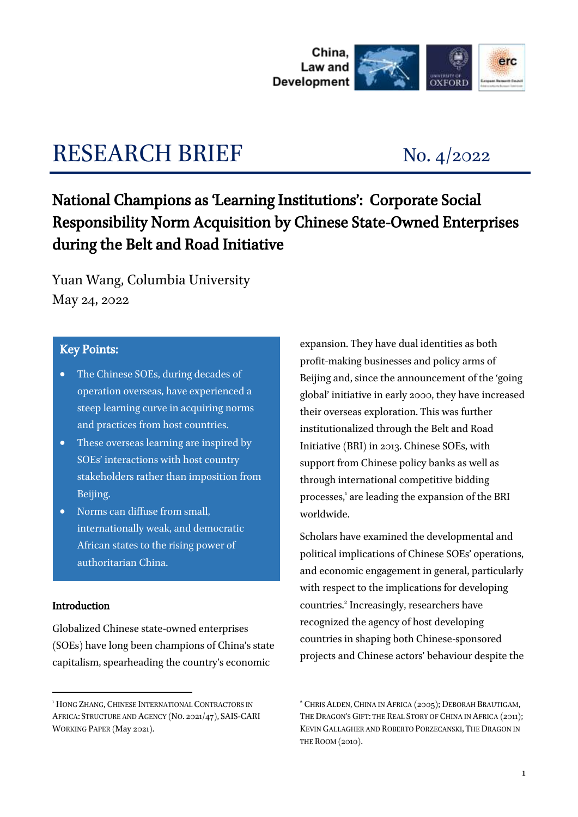

# RESEARCH BRIEF No. 4/2022

# National Champions as 'Learning Institutions': Corporate Social Responsibility Norm Acquisition by Chinese State-Owned Enterprises during the Belt and Road Initiative

Yuan Wang, Columbia University May 24, 2022

## Key Points:

- The Chinese SOEs, during decades of operation overseas, have experienced a steep learning curve in acquiring norms and practices from host countries.
- These overseas learning are inspired by SOEs' interactions with host country stakeholders rather than imposition from Beijing.
- Norms can diffuse from small, internationally weak, and democratic African states to the rising power of authoritarian China.

#### Introduction

-

Globalized Chinese state-owned enterprises (SOEs) have long been champions of China's state capitalism, spearheading the country's economic

expansion. They have dual identities as both profit-making businesses and policy arms of Beijing and, since the announcement of the 'going global' initiative in early 2000, they have increased their overseas exploration. This was further institutionalized through the Belt and Road Initiative (BRI) in 2013. Chinese SOEs, with support from Chinese policy banks as well as through international competitive bidding processes,' are leading the expansion of the BRI worldwide.

Scholars have examined the developmental and political implications of Chinese SOEs' operations, and economic engagement in general, particularly with respect to the implications for developing countries.<sup>2</sup> Increasingly, researchers have recognized the agency of host developing countries in shaping both Chinese-sponsored projects and Chinese actors' behaviour despite the

<sup>&</sup>lt;sup>1</sup> HONG ZHANG, CHINESE INTERNATIONAL CONTRACTORS IN AFRICA: STRUCTURE AND AGENCY (NO. 2021/47), SAIS-CARI WORKING PAPER (May 2021).

<sup>2</sup> CHRIS ALDEN, CHINA IN AFRICA (2005); DEBORAH BRAUTIGAM, THE DRAGON'S GIFT: THE REAL STORY OF CHINA IN AFRICA (2011); KEVIN GALLAGHER AND ROBERTO PORZECANSKI, THE DRAGON IN THE ROOM (2010).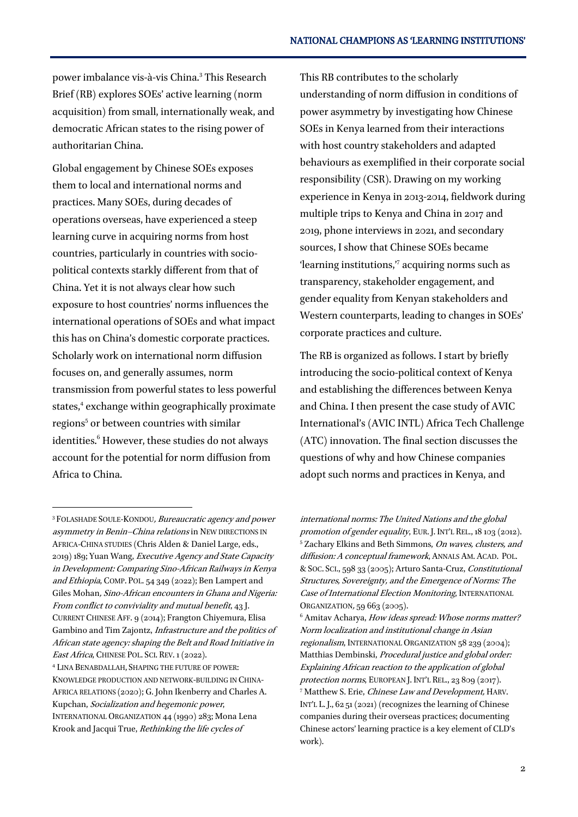power imbalance vis-à-vis China.<sup>3</sup> This Research Brief (RB) explores SOEs' active learning (norm acquisition) from small, internationally weak, and democratic African states to the rising power of authoritarian China.

Global engagement by Chinese SOEs exposes them to local and international norms and practices. Many SOEs, during decades of operations overseas, have experienced a steep learning curve in acquiring norms from host countries, particularly in countries with sociopolitical contexts starkly different from that of China. Yet it is not always clear how such exposure to host countries' norms influences the international operations of SOEs and what impact this has on China's domestic corporate practices. Scholarly work on international norm diffusion focuses on, and generally assumes, norm transmission from powerful states to less powerful states,<sup>4</sup> exchange within geographically proximate regions<sup>5</sup> or between countries with similar identities.<sup>6</sup> However, these studies do not always account for the potential for norm diffusion from Africa to China.

-

This RB contributes to the scholarly understanding of norm diffusion in conditions of power asymmetry by investigating how Chinese SOEs in Kenya learned from their interactions with host country stakeholders and adapted behaviours as exemplified in their corporate social responsibility (CSR). Drawing on my working experience in Kenya in 2013-2014, fieldwork during multiple trips to Kenya and China in 2017 and 2019, phone interviews in 2021, and secondary sources, I show that Chinese SOEs became 'learning institutions," acquiring norms such as transparency, stakeholder engagement, and gender equality from Kenyan stakeholders and Western counterparts, leading to changes in SOEs' corporate practices and culture.

The RB is organized as follows. I start by briefly introducing the socio-political context of Kenya and establishing the differences between Kenya and China. I then present the case study of AVIC International's (AVIC INTL) Africa Tech Challenge (ATC) innovation. The final section discusses the questions of why and how Chinese companies adopt such norms and practices in Kenya, and

<sup>3</sup> FOLASHADE SOULE-KONDOU, Bureaucratic agency and power asymmetry in Benin–China relations in NEW DIRECTIONS IN AFRICA-CHINA STUDIES (Chris Alden & Daniel Large, eds., 2019) 189; Yuan Wang, Executive Agency and State Capacity in Development: Comparing Sino-African Railways in Kenya and Ethiopia, COMP. POL. 54 349 (2022); Ben Lampert and Giles Mohan, Sino-African encounters in Ghana and Nigeria: From conflict to conviviality and mutual benefit, 43 J. CURRENT CHINESE AFF. 9 (2014); Frangton Chiyemura, Elisa Gambino and Tim Zajontz, Infrastructure and the politics of African state agency: shaping the Belt and Road Initiative in East Africa, CHINESE POL. SCI. REV. 1 (2022).

<sup>4</sup> LINA BENABDALLAH, SHAPING THE FUTURE OF POWER: KNOWLEDGE PRODUCTION AND NETWORK-BUILDING IN CHINA-AFRICA RELATIONS (2020); G. John Ikenberry and Charles A. Kupchan, Socialization and hegemonic power, INTERNATIONAL ORGANIZATION 44 (1990) 283; Mona Lena Krook and Jacqui True, Rethinking the life cycles of

international norms: The United Nations and the global promotion of gender equality, EUR. J. INT'L REL., 18 103 (2012). <sup>5</sup> Zachary Elkins and Beth Simmons, On waves, clusters, and diffusion: A conceptual framework, ANNALS AM. ACAD. POL. &SOC. SCI., 598 33 (2005); Arturo Santa-Cruz, Constitutional Structures, Sovereignty, and the Emergence of Norms: The Case of International Election Monitoring, INTERNATIONAL ORGANIZATION, 59 663 (2005).

<sup>&</sup>lt;sup>6</sup> Amitav Acharya, How ideas spread: Whose norms matter? Norm localization and institutional change in Asian regionalism, INTERNATIONAL ORGANIZATION 58 239 (2004); Matthias Dembinski, Procedural justice and global order: Explaining African reaction to the application of global protection norms, EUROPEAN J. INT'L REL., 23 809 (2017). <sup>7</sup> Matthew S. Erie, Chinese Law and Development, HARV. INT'L L. J., 62 51 (2021) (recognizes the learning of Chinese companies during their overseas practices; documenting Chinese actors' learning practice is a key element of CLD's work).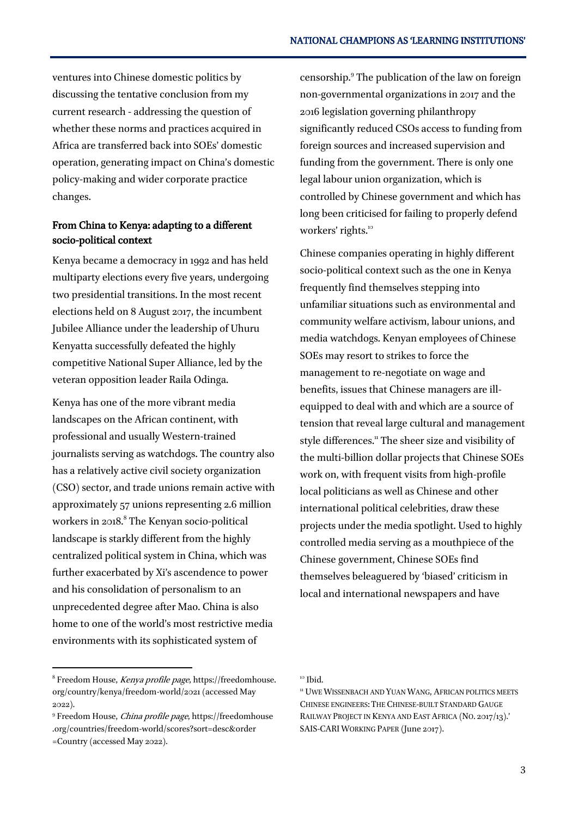ventures into Chinese domestic politics by discussing the tentative conclusion from my current research - addressing the question of whether these norms and practices acquired in Africa are transferred back into SOEs' domestic operation, generating impact on China's domestic policy-making and wider corporate practice changes.

### From China to Kenya: adapting to a different socio-political context

Kenya became a democracy in 1992 and has held multiparty elections every five years, undergoing two presidential transitions. In the most recent elections held on 8 August 2017, the incumbent Jubilee Alliance under the leadership of Uhuru Kenyatta successfully defeated the highly competitive National Super Alliance, led by the veteran opposition leader Raila Odinga.

Kenya has one of the more vibrant media landscapes on the African continent, with professional and usually Western-trained journalists serving as watchdogs. The country also has a relatively active civil society organization (CSO) sector, and trade unions remain active with approximately 57 unions representing 2.6 million workers in 2018.<sup>8</sup> The Kenyan socio-political landscape is starkly different from the highly centralized political system in China, which was further exacerbated by Xi's ascendence to power and his consolidation of personalism to an unprecedented degree after Mao. China is also home to one of the world's most restrictive media environments with its sophisticated system of

censorship.<sup>9</sup> The publication of the law on foreign non-governmental organizations in 2017 and the 2016 legislation governing philanthropy significantly reduced CSOs access to funding from foreign sources and increased supervision and funding from the government. There is only one legal labour union organization, which is controlled by Chinese government and which has long been criticised for failing to properly defend workers' rights.<sup>10</sup>  $\overline{a}$ 

Chinese companies operating in highly different socio-political context such as the one in Kenya frequently find themselves stepping into unfamiliar situations such as environmental and community welfare activism, labour unions, and media watchdogs. Kenyan employees of Chinese SOEs may resort to strikes to force the management to re-negotiate on wage and benefits, issues that Chinese managers are illequipped to deal with and which are a source of tension that reveal large cultural and management style differences.<sup>11</sup> The sheer size and visibility of the multi-billion dollar projects that Chinese SOEs work on, with frequent visits from high-profile local politicians as well as Chinese and other international political celebrities, draw these projects under the media spotlight. Used to highly controlled media serving as a mouthpiece of the Chinese government, Chinese SOEs find themselves beleaguered by 'biased' criticism in local and international newspapers and have

-

<sup>8</sup> Freedom House, Kenya profile page, [https://freedomhouse.](https://freedomhouse.org/country/kenya/freedom-world/2021) [org/country/kenya/freedom-world/2021](https://freedomhouse.org/country/kenya/freedom-world/2021) (accessed May 2022).

<sup>9</sup> Freedom House, China profile page, [https://freedomhouse](https://freedomhouse.org/countries/freedom-world/scores?sort=desc&order=Country) [.org/countries/freedom-world/scores?sort=desc&order](https://freedomhouse.org/countries/freedom-world/scores?sort=desc&order=Country) [=Country](https://freedomhouse.org/countries/freedom-world/scores?sort=desc&order=Country) (accessed May 2022).

<sup>10</sup> Ibid.

<sup>&</sup>lt;sup>11</sup> UWE WISSENBACH AND YUAN WANG, AFRICAN POLITICS MEETS CHINESE ENGINEERS: THE CHINESE-BUILT STANDARD GAUGE RAILWAY PROJECT IN KENYA AND EAST AFRICA (NO. 2017/13).' SAIS-CARI WORKING PAPER (June 2017).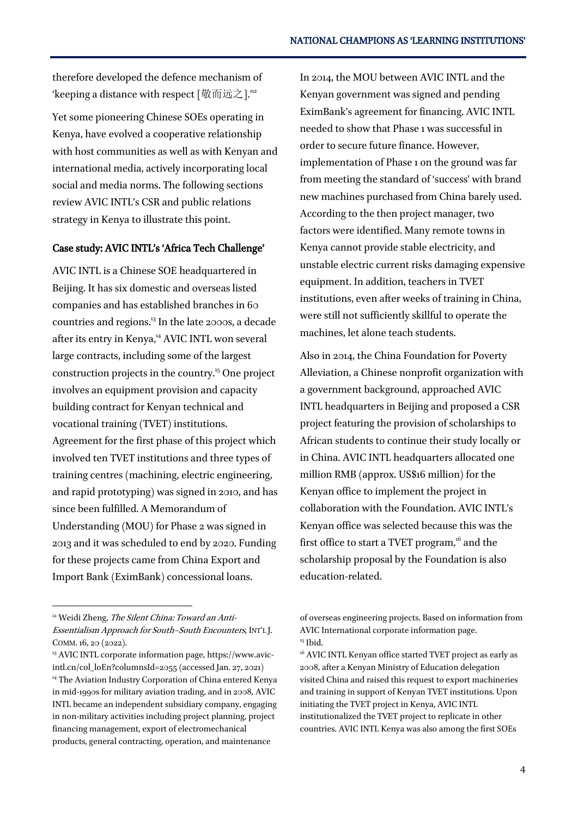therefore developed the defence mechanism of 'keeping a distance with respect [敬而远之]."

Yet some pioneering Chinese SOEs operating in Kenya, have evolved a cooperative relationship with host communities as well as with Kenyan and international media, actively incorporating local social and media norms. The following sections review AVIC INTL's CSR and public relations strategy in Kenya to illustrate this point.

#### Case study: AVIC INTL's 'Africa Tech Challenge'

AVIC INTL is a Chinese SOE headquartered in Beijing. It has six domestic and overseas listed companies and has established branches in 60 countries and regions.<sup>13</sup> In the late 2000s, a decade after its entry in Kenya,<sup>14</sup> AVIC INTL won several large contracts, including some of the largest construction projects in the country.<sup>15</sup> One project involves an equipment provision and capacity building contract for Kenyan technical and vocational training (TVET) institutions. Agreement for the first phase of this project which involved ten TVET institutions and three types of training centres (machining, electric engineering, and rapid prototyping) was signed in 2010, and has since been fulfilled. A Memorandum of Understanding (MOU) for Phase 2 was signed in 2013 and it was scheduled to end by 2020. Funding for these projects came from China Export and Import Bank (EximBank) concessional loans.

1

In 2014, the MOU between AVIC INTL and the Kenyan government was signed and pending EximBank's agreement for financing. AVIC INTL needed to show that Phase 1 was successful in order to secure future finance. However, implementation of Phase 1 on the ground was far from meeting the standard of 'success' with brand new machines purchased from China barely used. According to the then project manager, two factors were identified. Many remote towns in Kenya cannot provide stable electricity, and unstable electric current risks damaging expensive equipment. In addition, teachers in TVET institutions, even after weeks of training in China, were still not sufficiently skillful to operate the machines, let alone teach students.

Also in 2014, the China Foundation for Poverty Alleviation, a Chinese nonprofit organization with a government background, approached AVIC INTL headquarters in Beijing and proposed a CSR project featuring the provision of scholarships to African students to continue their study locally or in China. AVIC INTL headquarters allocated one million RMB (approx. US\$16 million) for the Kenyan office to implement the project in collaboration with the Foundation. AVIC INTL's Kenyan office was selected because this was the first office to start a TVET program, $^{16}$  and the scholarship proposal by the Foundation is also education-related.

<sup>&</sup>lt;sup>12</sup> Weidi Zheng, The Silent China: Toward an Anti-Essentialism Approach for South–South Encounters, INT'L J. COMM. 16, 20 (2022).

<sup>&</sup>lt;sup>13</sup> AVIC INTL corporate information page[, https://www.avic](https://www.avic-intl.cn/col_loEn?columnsId=2055)[intl.cn/col\\_loEn?columnsId=2055](https://www.avic-intl.cn/col_loEn?columnsId=2055) (accessed Jan. 27, 2021) <sup>14</sup> The Aviation Industry Corporation of China entered Kenya in mid-1990s for military aviation trading, and in 2008, AVIC INTL became an independent subsidiary company, engaging in non-military activities including project planning, project financing management, export of electromechanical products, general contracting, operation, and maintenance

of overseas engineering projects. Based on information from AVIC International corporate information page. <sup>15</sup> Ibid.

<sup>&</sup>lt;sup>16</sup> AVIC INTL Kenyan office started TVET project as early as 2008, after a Kenyan Ministry of Education delegation visited China and raised this request to export machineries and training in support of Kenyan TVET institutions. Upon initiating the TVET project in Kenya, AVIC INTL institutionalized the TVET project to replicate in other countries. AVIC INTL Kenya was also among the first SOEs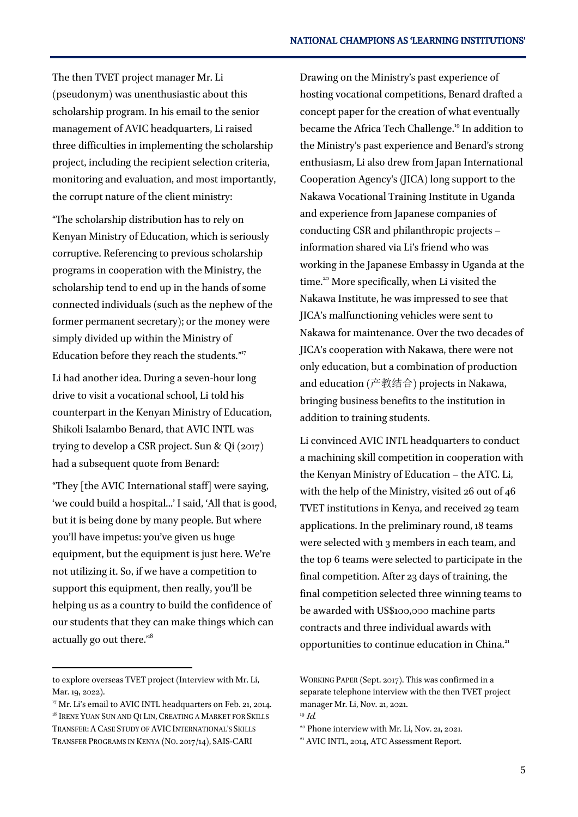The then TVET project manager Mr. Li (pseudonym) was unenthusiastic about this scholarship program. In his email to the senior management of AVIC headquarters, Li raised three difficulties in implementing the scholarship project, including the recipient selection criteria, monitoring and evaluation, and most importantly, the corrupt nature of the client ministry:

"The scholarship distribution has to rely on Kenyan Ministry of Education, which is seriously corruptive. Referencing to previous scholarship programs in cooperation with the Ministry, the scholarship tend to end up in the hands of some connected individuals (such as the nephew of the former permanent secretary); or the money were simply divided up within the Ministry of Education before they reach the students."<sup>17</sup>

Li had another idea. During a seven-hour long drive to visit a vocational school, Li told his counterpart in the Kenyan Ministry of Education, Shikoli Isalambo Benard, that AVIC INTL was trying to develop a CSR project. Sun & Qi (2017) had a subsequent quote from Benard:

"They [the AVIC International staff] were saying, 'we could build a hospital...' I said, 'All that is good, but it is being done by many people. But where you'll have impetus: you've given us huge equipment, but the equipment is just here. We're not utilizing it. So, if we have a competition to support this equipment, then really, you'll be helping us as a country to build the confidence of our students that they can make things which can actually go out there."<sup>8</sup>

-

Drawing on the Ministry's past experience of hosting vocational competitions, Benard drafted a concept paper for the creation of what eventually became the Africa Tech Challenge.<sup>19</sup> In addition to the Ministry's past experience and Benard's strong enthusiasm, Li also drew from Japan International Cooperation Agency's (JICA) long support to the Nakawa Vocational Training Institute in Uganda and experience from Japanese companies of conducting CSR and philanthropic projects – information shared via Li's friend who was working in the Japanese Embassy in Uganda at the time.<sup>20</sup> More specifically, when Li visited the Nakawa Institute, he was impressed to see that JICA's malfunctioning vehicles were sent to Nakawa for maintenance. Over the two decades of JICA's cooperation with Nakawa, there were not only education, but a combination of production and education (产教结合) projects in Nakawa, bringing business benefits to the institution in addition to training students.

Li convinced AVIC INTL headquarters to conduct a machining skill competition in cooperation with the Kenyan Ministry of Education – the ATC. Li, with the help of the Ministry, visited 26 out of 46 TVET institutions in Kenya, and received 29 team applications. In the preliminary round, 18 teams were selected with 3 members in each team, and the top 6 teams were selected to participate in the final competition. After 23 days of training, the final competition selected three winning teams to be awarded with US\$100,000 machine parts contracts and three individual awards with opportunities to continue education in China.<sup>21</sup>

to explore overseas TVET project (Interview with Mr. Li, Mar. 19, 2022).

<sup>&</sup>lt;sup>17</sup> Mr. Li's email to AVIC INTL headquarters on Feb. 21, 2014. <sup>18</sup> IRENE YUAN SUN AND QI LIN, CREATING A MARKET FOR SKILLS TRANSFER: A CASE STUDY OF AVIC INTERNATIONAL'S SKILLS TRANSFER PROGRAMS IN KENYA (NO. 2017/14), SAIS-CARI

WORKING PAPER (Sept. 2017). This was confirmed in a separate telephone interview with the then TVET project manager Mr. Li, Nov. 21, 2021.  $19$  *Id.* 

 $^{20}$  Phone interview with Mr. Li, Nov. 21, 2021. <sup>21</sup> AVIC INTL, 2014, ATC Assessment Report.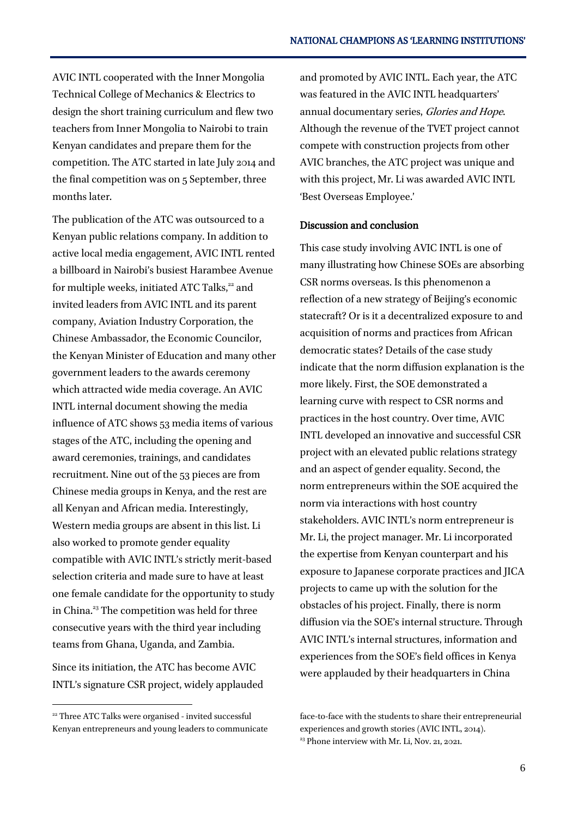AVIC INTL cooperated with the Inner Mongolia Technical College of Mechanics & Electrics to design the short training curriculum and flew two teachers from Inner Mongolia to Nairobi to train Kenyan candidates and prepare them for the competition. The ATC started in late July 2014 and the final competition was on 5 September, three months later.

The publication of the ATC was outsourced to a Kenyan public relations company. In addition to active local media engagement, AVIC INTL rented a billboard in Nairobi's busiest Harambee Avenue for multiple weeks, initiated ATC Talks,<sup>22</sup> and invited leaders from AVIC INTL and its parent company, Aviation Industry Corporation, the Chinese Ambassador, the Economic Councilor, the Kenyan Minister of Education and many other government leaders to the awards ceremony which attracted wide media coverage. An AVIC INTL internal document showing the media influence of ATC shows 53 media items of various stages of the ATC, including the opening and award ceremonies, trainings, and candidates recruitment. Nine out of the 53 pieces are from Chinese media groups in Kenya, and the rest are all Kenyan and African media. Interestingly, Western media groups are absent in this list. Li also worked to promote gender equality compatible with AVIC INTL's strictly merit-based selection criteria and made sure to have at least one female candidate for the opportunity to study in China.<sup>23</sup> The competition was held for three consecutive years with the third year including teams from Ghana, Uganda, and Zambia.

Since its initiation, the ATC has become AVIC INTL's signature CSR project, widely applauded

-

and promoted by AVIC INTL. Each year, the ATC was featured in the AVIC INTL headquarters' annual documentary series, Glories and Hope. Although the revenue of the TVET project cannot compete with construction projects from other AVIC branches, the ATC project was unique and with this project, Mr. Li was awarded AVIC INTL 'Best Overseas Employee.'

#### Discussion and conclusion

This case study involving AVIC INTL is one of many illustrating how Chinese SOEs are absorbing CSR norms overseas. Is this phenomenon a reflection of a new strategy of Beijing's economic statecraft? Or is it a decentralized exposure to and acquisition of norms and practices from African democratic states? Details of the case study indicate that the norm diffusion explanation is the more likely. First, the SOE demonstrated a learning curve with respect to CSR norms and practices in the host country. Over time, AVIC INTL developed an innovative and successful CSR project with an elevated public relations strategy and an aspect of gender equality. Second, the norm entrepreneurs within the SOE acquired the norm via interactions with host country stakeholders. AVIC INTL's norm entrepreneur is Mr. Li, the project manager. Mr. Li incorporated the expertise from Kenyan counterpart and his exposure to Japanese corporate practices and JICA projects to came up with the solution for the obstacles of his project. Finally, there is norm diffusion via the SOE's internal structure. Through AVIC INTL's internal structures, information and experiences from the SOE's field offices in Kenya were applauded by their headquarters in China

<sup>&</sup>lt;sup>22</sup> Three ATC Talks were organised - invited successful Kenyan entrepreneurs and young leaders to communicate

face-to-face with the students to share their entrepreneurial experiences and growth stories (AVIC INTL, 2014).  $23$  Phone interview with Mr. Li, Nov. 21, 2021.